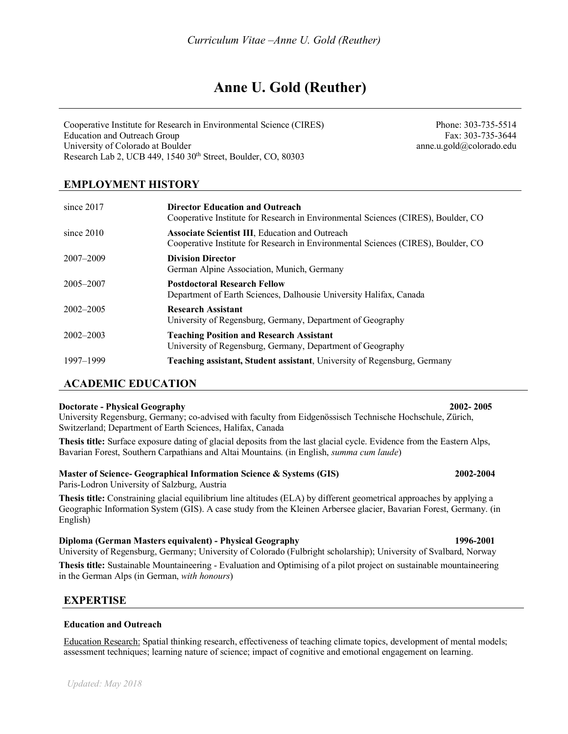# **Anne U. Gold (Reuther)**

Cooperative Institute for Research in Environmental Science (CIRES) Education and Outreach Group University of Colorado at Boulder Research Lab 2, UCB 449, 1540 30<sup>th</sup> Street, Boulder, CO, 80303

Phone: 303-735-5514 Fax: 303-735-3644 anne.u.gold@colorado.edu

## **EMPLOYMENT HISTORY**

| since $2017$  | <b>Director Education and Outreach</b><br>Cooperative Institute for Research in Environmental Sciences (CIRES), Boulder, CO                 |
|---------------|---------------------------------------------------------------------------------------------------------------------------------------------|
| since $2010$  | <b>Associate Scientist III, Education and Outreach</b><br>Cooperative Institute for Research in Environmental Sciences (CIRES), Boulder, CO |
| 2007-2009     | <b>Division Director</b><br>German Alpine Association, Munich, Germany                                                                      |
| 2005-2007     | <b>Postdoctoral Research Fellow</b><br>Department of Earth Sciences, Dalhousie University Halifax, Canada                                   |
| $2002 - 2005$ | <b>Research Assistant</b><br>University of Regensburg, Germany, Department of Geography                                                     |
| $2002 - 2003$ | <b>Teaching Position and Research Assistant</b><br>University of Regensburg, Germany, Department of Geography                               |
| 1997–1999     | <b>Teaching assistant, Student assistant</b> , University of Regensburg, Germany                                                            |

## **ACADEMIC EDUCATION**

#### **Doctorate - Physical Geography 2002- 2005**

University Regensburg, Germany; co-advised with faculty from Eidgenössisch Technische Hochschule, Zürich, Switzerland; Department of Earth Sciences, Halifax, Canada

**Thesis title:** Surface exposure dating of glacial deposits from the last glacial cycle. Evidence from the Eastern Alps, Bavarian Forest, Southern Carpathians and Altai Mountains*.* (in English, *summa cum laude*)

## **Master of Science- Geographical Information Science & Systems (GIS) 2002-2004**

Paris-Lodron University of Salzburg, Austria

**Thesis title:** Constraining glacial equilibrium line altitudes (ELA) by different geometrical approaches by applying a Geographic Information System (GIS). A case study from the Kleinen Arbersee glacier, Bavarian Forest, Germany. (in English)

#### **Diploma (German Masters equivalent) - Physical Geography 1996-2001**

University of Regensburg, Germany; University of Colorado (Fulbright scholarship); University of Svalbard, Norway

**Thesis title:** Sustainable Mountaineering - Evaluation and Optimising of a pilot project on sustainable mountaineering in the German Alps (in German, *with honours*)

## **EXPERTISE**

#### **Education and Outreach**

Education Research: Spatial thinking research, effectiveness of teaching climate topics, development of mental models; assessment techniques; learning nature of science; impact of cognitive and emotional engagement on learning.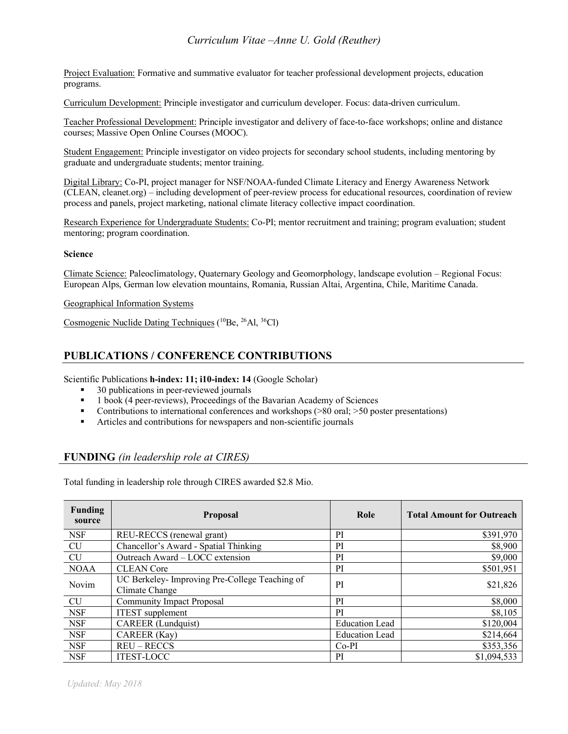## *Curriculum Vitae –Anne U. Gold (Reuther)*

Project Evaluation: Formative and summative evaluator for teacher professional development projects, education programs.

Curriculum Development: Principle investigator and curriculum developer. Focus: data-driven curriculum.

Teacher Professional Development: Principle investigator and delivery of face-to-face workshops; online and distance courses; Massive Open Online Courses (MOOC).

Student Engagement: Principle investigator on video projects for secondary school students, including mentoring by graduate and undergraduate students; mentor training.

Digital Library: Co-PI, project manager for NSF/NOAA-funded Climate Literacy and Energy Awareness Network (CLEAN, cleanet.org) – including development of peer-review process for educational resources, coordination of review process and panels, project marketing, national climate literacy collective impact coordination.

Research Experience for Undergraduate Students: Co-PI; mentor recruitment and training; program evaluation; student mentoring; program coordination.

#### **Science**

Climate Science: Paleoclimatology, Quaternary Geology and Geomorphology, landscape evolution – Regional Focus: European Alps, German low elevation mountains, Romania, Russian Altai, Argentina, Chile, Maritime Canada.

Geographical Information Systems

Cosmogenic Nuclide Dating Techniques  $(^{10}Be, ^{26}Al, ^{36}Cl)$ 

## **PUBLICATIONS / CONFERENCE CONTRIBUTIONS**

Scientific Publications **h-index: 11; i10-index: 14** (Google Scholar)

- § 30 publications in peer-reviewed journals
- 1 book (4 peer-reviews), Proceedings of the Bavarian Academy of Sciences
- Contributions to international conferences and workshops (>80 oral; >50 poster presentations)
- § Articles and contributions for newspapers and non-scientific journals

## **FUNDING** *(in leadership role at CIRES)*

Total funding in leadership role through CIRES awarded \$2.8 Mio.

| Funding<br>source | <b>Proposal</b>                                                 | Role                  | <b>Total Amount for Outreach</b> |
|-------------------|-----------------------------------------------------------------|-----------------------|----------------------------------|
| <b>NSF</b>        | REU-RECCS (renewal grant)                                       | <b>PI</b>             | \$391,970                        |
| CU                | Chancellor's Award - Spatial Thinking                           | <b>PI</b>             | \$8,900                          |
| <b>CU</b>         | Outreach Award - LOCC extension                                 | <sub>PI</sub>         | \$9,000                          |
| <b>NOAA</b>       | <b>CLEAN</b> Core                                               | <sup>PI</sup>         | \$501,951                        |
| Novim             | UC Berkeley-Improving Pre-College Teaching of<br>Climate Change | PI                    | \$21,826                         |
| <b>CU</b>         | <b>Community Impact Proposal</b>                                | <b>PI</b>             | \$8,000                          |
| <b>NSF</b>        | <b>ITEST</b> supplement                                         | <b>PI</b>             | \$8,105                          |
| <b>NSF</b>        | <b>CAREER</b> (Lundquist)                                       | <b>Education Lead</b> | \$120,004                        |
| <b>NSF</b>        | CAREER (Kay)                                                    | <b>Education Lead</b> | \$214,664                        |
| <b>NSF</b>        | REU-RECCS                                                       | $Co-PI$               | \$353,356                        |
| <b>NSF</b>        | <b>ITEST-LOCC</b>                                               | <sub>PI</sub>         | \$1,094,533                      |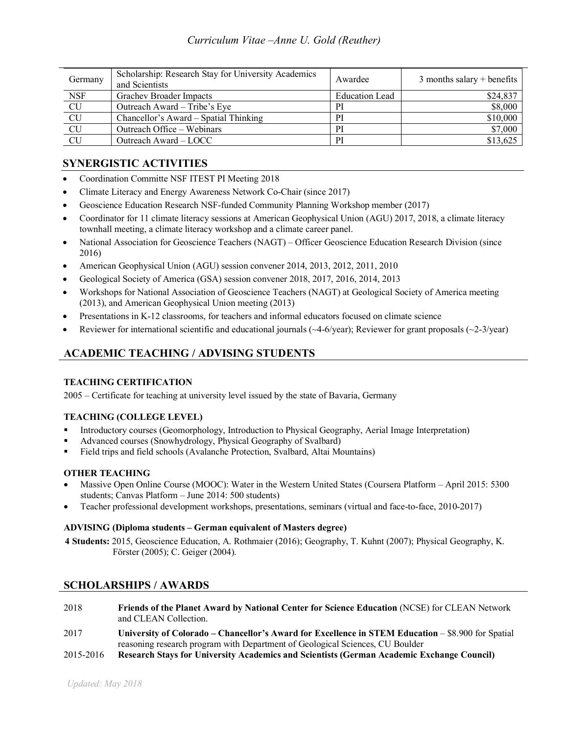| Germany       | Scholarship: Research Stay for University Academics<br>and Scientists | Awardee               | 3 months salary + benefits |
|---------------|-----------------------------------------------------------------------|-----------------------|----------------------------|
| <b>NSF</b>    | Grachev Broader Impacts                                               | <b>Education Lead</b> | \$24,837                   |
| CU            | Outreach Award – Tribe's Eye                                          | PI                    | \$8,000                    |
|               | Chancellor's Award – Spatial Thinking                                 | PI                    | \$10,000                   |
|               | Outreach Office – Webinars                                            | PI                    | \$7,000                    |
| $rac{CU}{CU}$ | Outreach Award – LOCC                                                 | РI                    | \$13,625                   |

## **SYNERGISTIC ACTIVITIES**

- Coordination Committe NSF ITEST PI Meeting 2018
- Climate Literacy and Energy Awareness Network Co-Chair (since 2017)
- Geoscience Education Research NSF-funded Community Planning Workshop member (2017)
- Coordinator for 11 climate literacy sessions at American Geophysical Union (AGU) 2017, 2018, a climate literacy townhall meeting, a climate literacy workshop and a climate career panel.
- National Association for Geoscience Teachers (NAGT) Officer Geoscience Education Research Division (since 2016)
- American Geophysical Union (AGU) session convener 2014, 2013, 2012, 2011, 2010
- Geological Society of America (GSA) session convener 2018, 2017, 2016, 2014, 2013
- Workshops for National Association of Geoscience Teachers (NAGT) at Geological Society of America meeting (2013), and American Geophysical Union meeting (2013)
- Presentations in K-12 classrooms, for teachers and informal educators focused on climate science
- Reviewer for international scientific and educational journals  $(\sim4-6/\text{year})$ ; Reviewer for grant proposals  $(\sim2-3/\text{year})$

## **ACADEMIC TEACHING / ADVISING STUDENTS**

## **TEACHING CERTIFICATION**

2005 – Certificate for teaching at university level issued by the state of Bavaria, Germany

## **TEACHING (COLLEGE LEVEL)**

- § Introductory courses (Geomorphology, Introduction to Physical Geography, Aerial Image Interpretation)
- § Advanced courses (Snowhydrology, Physical Geography of Svalbard)
- Field trips and field schools (Avalanche Protection, Svalbard, Altai Mountains)

## **OTHER TEACHING**

- Massive Open Online Course (MOOC): Water in the Western United States (Coursera Platform April 2015: 5300 students; Canvas Platform – June 2014: 500 students)
- Teacher professional development workshops, presentations, seminars (virtual and face-to-face, 2010-2017)

## **ADVISING (Diploma students – German equivalent of Masters degree)**

**4 Students:** 2015, Geoscience Education, A. Rothmaier (2016); Geography, T. Kuhnt (2007); Physical Geography, K. Förster (2005); C. Geiger (2004).

## **SCHOLARSHIPS / AWARDS**

- 2018 **Friends of the Planet Award by National Center for Science Education** (NCSE) for CLEAN Network and CLEAN Collection.
- 2017 **University of Colorado – Chancellor's Award for Excellence in STEM Education** \$8.900 for Spatial reasoning research program with Department of Geological Sciences, CU Boulder
- 2015-2016 **Research Stays for University Academics and Scientists (German Academic Exchange Council)**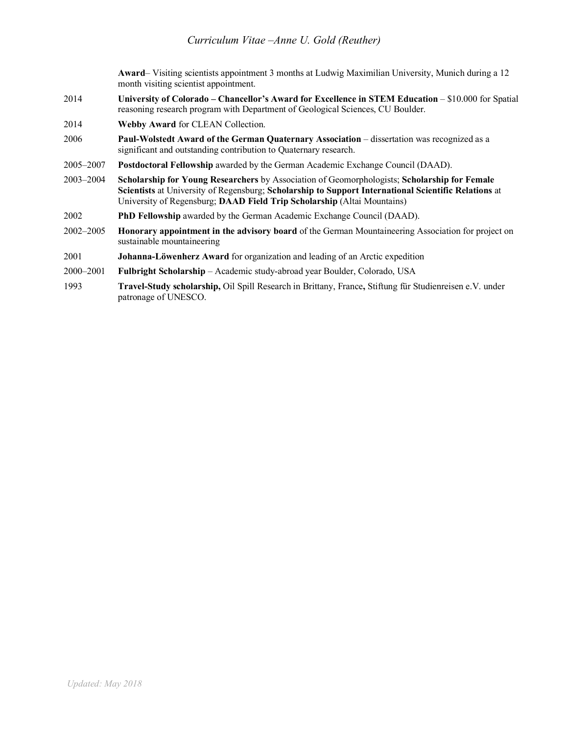**Award**– Visiting scientists appointment 3 months at Ludwig Maximilian University, Munich during a 12 month visiting scientist appointment.

- 2014 **University of Colorado – Chancellor's Award for Excellence in STEM Education** \$10.000 for Spatial reasoning research program with Department of Geological Sciences, CU Boulder.
- 2014 **Webby Award** for CLEAN Collection.
- 2006 **Paul-Wolstedt Award of the German Quaternary Association** dissertation was recognized as a significant and outstanding contribution to Quaternary research.
- 2005–2007 **Postdoctoral Fellowship** awarded by the German Academic Exchange Council (DAAD).
- 2003–2004 **Scholarship for Young Researchers** by Association of Geomorphologists; **Scholarship for Female Scientists** at University of Regensburg; **Scholarship to Support International Scientific Relations** at University of Regensburg; **DAAD Field Trip Scholarship** (Altai Mountains)
- 2002 **PhD Fellowship** awarded by the German Academic Exchange Council (DAAD).
- 2002–2005 **Honorary appointment in the advisory board** of the German Mountaineering Association for project on sustainable mountaineering
- 2001 **Johanna-Löwenherz Award** for organization and leading of an Arctic expedition
- 2000–2001 **Fulbright Scholarship** Academic study-abroad year Boulder, Colorado, USA
- 1993 **Travel-Study scholarship,** Oil Spill Research in Brittany, France**,** Stiftung für Studienreisen e.V. under patronage of UNESCO.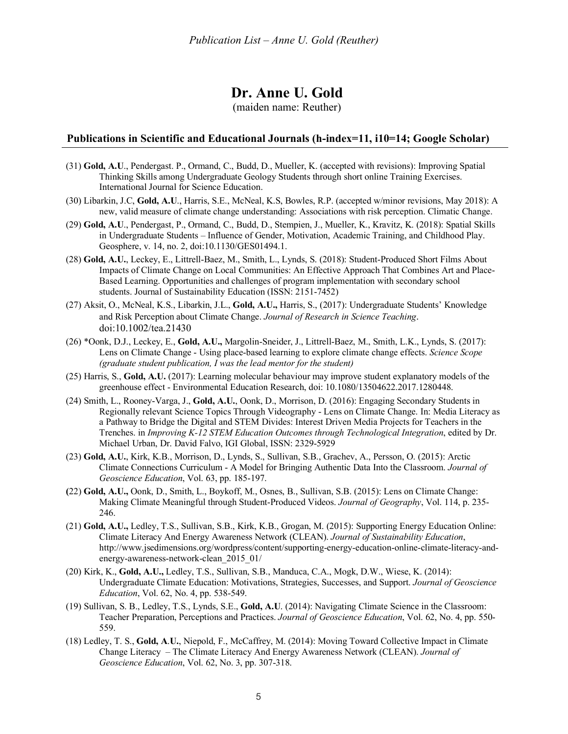## **Dr. Anne U. Gold**

(maiden name: Reuther)

### **Publications in Scientific and Educational Journals (h-index=11, i10=14; Google Scholar)**

- (31) **Gold, A.U**., Pendergast. P., Ormand, C., Budd, D., Mueller, K. (accepted with revisions): Improving Spatial Thinking Skills among Undergraduate Geology Students through short online Training Exercises. International Journal for Science Education.
- (30) Libarkin, J.C, **Gold, A.U**., Harris, S.E., McNeal, K.S, Bowles, R.P. (accepted w/minor revisions, May 2018): A new, valid measure of climate change understanding: Associations with risk perception. Climatic Change.
- (29) **Gold, A.U**., Pendergast, P., Ormand, C., Budd, D., Stempien, J., Mueller, K., Kravitz, K. (2018): Spatial Skills in Undergraduate Students – Influence of Gender, Motivation, Academic Training, and Childhood Play. Geosphere, v. 14, no. 2, doi:10.1130/GES01494.1.
- (28) **Gold, A.U.**, Leckey, E., Littrell-Baez, M., Smith, L., Lynds, S. (2018): Student-Produced Short Films About Impacts of Climate Change on Local Communities: An Effective Approach That Combines Art and Place-Based Learning. Opportunities and challenges of program implementation with secondary school students. Journal of Sustainability Education (ISSN: 2151-7452)
- (27) Aksit, O., McNeal, K.S., Libarkin, J.L., **Gold, A.U.,** Harris, S., (2017): Undergraduate Students' Knowledge and Risk Perception about Climate Change. *Journal of Research in Science Teaching*. doi:10.1002/tea.21430
- (26) \*Oonk, D.J., Leckey, E., **Gold, A.U.,** Margolin-Sneider, J., Littrell-Baez, M., Smith, L.K., Lynds, S. (2017): Lens on Climate Change - Using place-based learning to explore climate change effects. *Science Scope (graduate student publication, I was the lead mentor for the student)*
- (25) Harris, S., **Gold, A.U.** (2017): Learning molecular behaviour may improve student explanatory models of the greenhouse effect - Environmental Education Research, doi: 10.1080/13504622.2017.1280448.
- (24) Smith, L., Rooney-Varga, J., **Gold, A.U.**, Oonk, D., Morrison, D. (2016): Engaging Secondary Students in Regionally relevant Science Topics Through Videography - Lens on Climate Change. In: Media Literacy as a Pathway to Bridge the Digital and STEM Divides: Interest Driven Media Projects for Teachers in the Trenches. in *Improving K-12 STEM Education Outcomes through Technological Integration*, edited by Dr. Michael Urban, Dr. David Falvo, IGI Global, ISSN: 2329-5929
- (23) **Gold, A.U.**, Kirk, K.B., Morrison, D., Lynds, S., Sullivan, S.B., Grachev, A., Persson, O. (2015): Arctic Climate Connections Curriculum - A Model for Bringing Authentic Data Into the Classroom. *Journal of Geoscience Education*, Vol. 63, pp. 185-197.
- **(**22) **Gold, A.U.,** Oonk, D., Smith, L., Boykoff, M., Osnes, B., Sullivan, S.B. (2015): Lens on Climate Change: Making Climate Meaningful through Student-Produced Videos. *Journal of Geography*, Vol. 114, p. 235- 246.
- (21) **Gold, A.U.,** Ledley, T.S., Sullivan, S.B., Kirk, K.B., Grogan, M. (2015): Supporting Energy Education Online: Climate Literacy And Energy Awareness Network (CLEAN). *Journal of Sustainability Education*, http://www.jsedimensions.org/wordpress/content/supporting-energy-education-online-climate-literacy-andenergy-awareness-network-clean\_2015\_01/
- (20) Kirk, K., **Gold, A.U.,** Ledley, T.S., Sullivan, S.B., Manduca, C.A., Mogk, D.W., Wiese, K. (2014): Undergraduate Climate Education: Motivations, Strategies, Successes, and Support. *Journal of Geoscience Education*, Vol. 62, No. 4, pp. 538-549.
- (19) Sullivan, S. B., Ledley, T.S., Lynds, S.E., **Gold, A.U**. (2014): Navigating Climate Science in the Classroom: Teacher Preparation, Perceptions and Practices. *Journal of Geoscience Education*, Vol. 62, No. 4, pp. 550- 559.
- (18) Ledley, T. S., **Gold, A**.**U.**, Niepold, F., McCaffrey, M. (2014): Moving Toward Collective Impact in Climate Change Literacy – The Climate Literacy And Energy Awareness Network (CLEAN). *Journal of Geoscience Education*, Vol. 62, No. 3, pp. 307-318.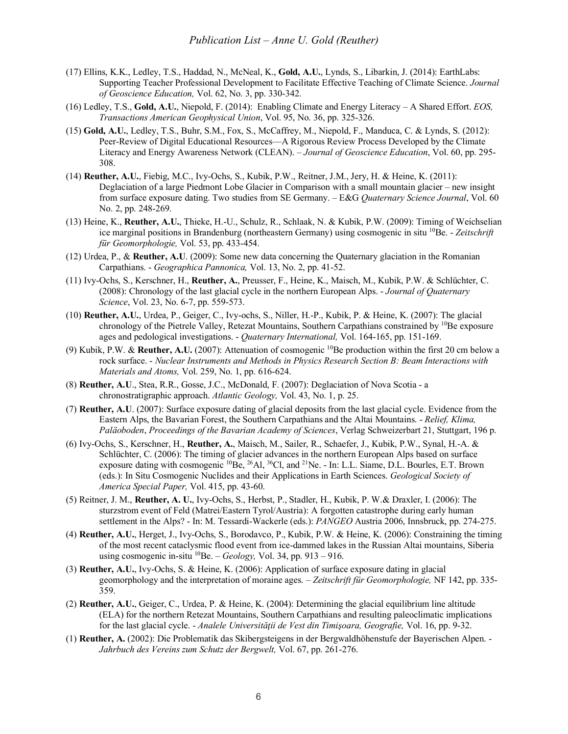- (17) Ellins, K.K., Ledley, T.S., Haddad, N., McNeal, K., **Gold, A.U.**, Lynds, S., Libarkin, J. (2014): EarthLabs: Supporting Teacher Professional Development to Facilitate Effective Teaching of Climate Science. *Journal of Geoscience Education,* Vol. 62, No. 3, pp. 330-342.
- (16) Ledley, T.S., **Gold, A.U.**, Niepold, F. (2014): Enabling Climate and Energy Literacy A Shared Effort. *EOS, Transactions American Geophysical Union*, Vol. 95, No. 36, pp. 325-326.
- (15) **Gold, A.U.**, Ledley, T.S., Buhr, S.M., Fox, S., McCaffrey, M., Niepold, F., Manduca, C. & Lynds, S. (2012): Peer-Review of Digital Educational Resources—A Rigorous Review Process Developed by the Climate Literacy and Energy Awareness Network (CLEAN). – *Journal of Geoscience Education*, Vol. 60, pp. 295- 308.
- (14) **Reuther, A.U.**, Fiebig, M.C., Ivy-Ochs, S., Kubik, P.W., Reitner, J.M., Jery, H. & Heine, K. (2011): Deglaciation of a large Piedmont Lobe Glacier in Comparison with a small mountain glacier – new insight from surface exposure dating. Two studies from SE Germany. – E&G *Quaternary Science Journal*, Vol. 60 No. 2, pp. 248-269.
- (13) Heine, K., **Reuther, A.U.**, Thieke, H.-U., Schulz, R., Schlaak, N. & Kubik, P.W. (2009): Timing of Weichselian ice marginal positions in Brandenburg (northeastern Germany) using cosmogenic in situ 10Be. - *Zeitschrift für Geomorphologie,* Vol. 53, pp. 433-454.
- (12) Urdea, P., & **Reuther, A.U**. (2009): Some new data concerning the Quaternary glaciation in the Romanian Carpathians. - *Geographica Pannonica,* Vol. 13, No. 2, pp. 41-52.
- (11) Ivy-Ochs, S., Kerschner, H., **Reuther, A.**, Preusser, F., Heine, K., Maisch, M., Kubik, P.W. & Schlüchter, C. (2008): Chronology of the last glacial cycle in the northern European Alps. - *Journal of Quaternary Science*, Vol. 23, No. 6-7, pp. 559-573.
- (10) **Reuther, A.U.**, Urdea, P., Geiger, C., Ivy-ochs, S., Niller, H.-P., Kubik, P. & Heine, K. (2007): The glacial chronology of the Pietrele Valley, Retezat Mountains, Southern Carpathians constrained by <sup>10</sup>Be exposure ages and pedological investigations. - *Quaternary International,* Vol. 164-165, pp. 151-169.
- (9) Kubik, P.W. & **Reuther, A.U.** (2007): Attenuation of cosmogenic 10Be production within the first 20 cm below a rock surface. - *Nuclear Instruments and Methods in Physics Research Section B: Beam Interactions with Materials and Atoms,* Vol. 259, No. 1, pp. 616-624.
- (8) **Reuther, A.U**., Stea, R.R., Gosse, J.C., McDonald, F. (2007): Deglaciation of Nova Scotia a chronostratigraphic approach. *Atlantic Geology,* Vol. 43, No. 1, p. 25.
- (7) **Reuther, A.U**. (2007): Surface exposure dating of glacial deposits from the last glacial cycle. Evidence from the Eastern Alps, the Bavarian Forest, the Southern Carpathians and the Altai Mountains. - *Relief, Klima, Paläoboden*, *Proceedings of the Bavarian Academy of Sciences*, Verlag Schweizerbart 21, Stuttgart, 196 p.
- (6) Ivy-Ochs, S., Kerschner, H., **Reuther, A.**, Maisch, M., Sailer, R., Schaefer, J., Kubik, P.W., Synal, H.-A. & Schlüchter, C. (2006): The timing of glacier advances in the northern European Alps based on surface exposure dating with cosmogenic <sup>10</sup>Be, <sup>26</sup>Al, <sup>36</sup>Cl, and <sup>21</sup>Ne. - In: L.L. Siame, D.L. Bourles, E.T. Brown (eds.): In Situ Cosmogenic Nuclides and their Applications in Earth Sciences. *Geological Society of America Special Paper,* Vol. 415, pp. 43-60.
- (5) Reitner, J. M., **Reuther, A. U.**, Ivy-Ochs, S., Herbst, P., Stadler, H., Kubik, P. W.& Draxler, I. (2006): The sturzstrom event of Feld (Matrei/Eastern Tyrol/Austria): A forgotten catastrophe during early human settlement in the Alps? - In: M. Tessardi-Wackerle (eds.): *PANGEO* Austria 2006, Innsbruck, pp. 274-275.
- (4) **Reuther, A.U.**, Herget, J., Ivy-Ochs, S., Borodavco, P., Kubik, P.W. & Heine, K. (2006): Constraining the timing of the most recent cataclysmic flood event from ice-dammed lakes in the Russian Altai mountains, Siberia using cosmogenic in-situ 10Be. – *Geology,* Vol. 34, pp. 913 – 916.
- (3) **Reuther, A.U.**, Ivy-Ochs, S. & Heine, K. (2006): Application of surface exposure dating in glacial geomorphology and the interpretation of moraine ages. – *Zeitschrift für Geomorphologie,* NF 142, pp. 335- 359.
- (2) **Reuther, A.U.**, Geiger, C., Urdea, P. & Heine, K. (2004): Determining the glacial equilibrium line altitude (ELA) for the northern Retezat Mountains, Southern Carpathians and resulting paleoclimatic implications for the last glacial cycle. - *Analele Universităţii de Vest din Timişoara, Geografie,* Vol. 16, pp. 9-32.
- (1) **Reuther, A.** (2002): Die Problematik das Skibergsteigens in der Bergwaldhöhenstufe der Bayerischen Alpen. *Jahrbuch des Vereins zum Schutz der Bergwelt,* Vol. 67, pp. 261-276.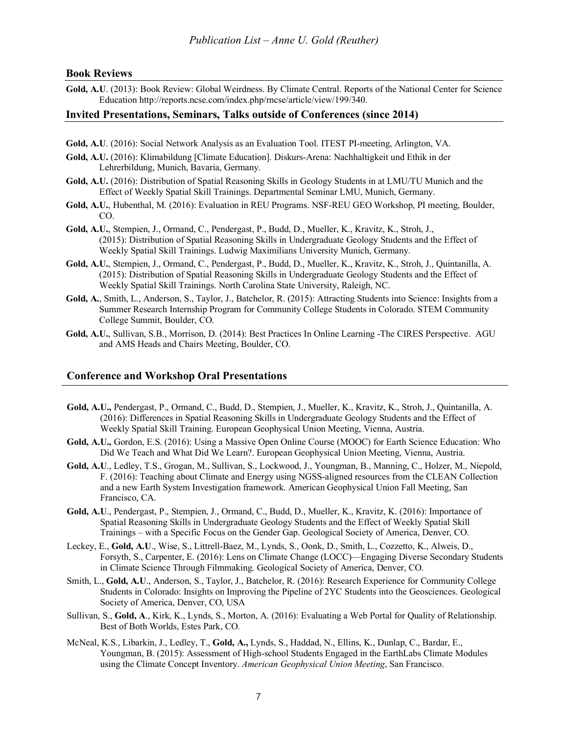#### **Book Reviews**

**Gold, A.U**. (2013): Book Review: Global Weirdness. By Climate Central. Reports of the National Center for Science Education http://reports.ncse.com/index.php/rncse/article/view/199/340.

#### **Invited Presentations, Seminars, Talks outside of Conferences (since 2014)**

- **Gold, A.U**. (2016): Social Network Analysis as an Evaluation Tool. ITEST PI-meeting, Arlington, VA.
- **Gold, A.U.** (2016): Klimabildung [Climate Education]. Diskurs-Arena: Nachhaltigkeit und Ethik in der Lehrerbildung, Munich, Bavaria, Germany.
- **Gold, A.U.** (2016): Distribution of Spatial Reasoning Skills in Geology Students in at LMU/TU Munich and the Effect of Weekly Spatial Skill Trainings. Departmental Seminar LMU, Munich, Germany.
- **Gold, A.U.**, Hubenthal, M. (2016): Evaluation in REU Programs. NSF-REU GEO Workshop, PI meeting, Boulder, CO.
- **Gold, A.U.**, Stempien, J., Ormand, C., Pendergast, P., Budd, D., Mueller, K., Kravitz, K., Stroh, J., (2015): Distribution of Spatial Reasoning Skills in Undergraduate Geology Students and the Effect of Weekly Spatial Skill Trainings. Ludwig Maximilians University Munich, Germany.
- **Gold, A.U.**, Stempien, J., Ormand, C., Pendergast, P., Budd, D., Mueller, K., Kravitz, K., Stroh, J., Quintanilla, A. (2015): Distribution of Spatial Reasoning Skills in Undergraduate Geology Students and the Effect of Weekly Spatial Skill Trainings. North Carolina State University, Raleigh, NC.
- **Gold, A.**, Smith, L., Anderson, S., Taylor, J., Batchelor, R. (2015): Attracting Students into Science: Insights from a Summer Research Internship Program for Community College Students in Colorado. STEM Community College Summit, Boulder, CO.
- **Gold, A.U.**, Sullivan, S.B., Morrison, D. (2014): Best Practices In Online Learning -The CIRES Perspective. AGU and AMS Heads and Chairs Meeting, Boulder, CO.

#### **Conference and Workshop Oral Presentations**

- **Gold, A.U.,** Pendergast, P., Ormand, C., Budd, D., Stempien, J., Mueller, K., Kravitz, K., Stroh, J., Quintanilla, A. (2016): Differences in Spatial Reasoning Skills in Undergraduate Geology Students and the Effect of Weekly Spatial Skill Training. European Geophysical Union Meeting, Vienna, Austria.
- **Gold, A.U.,** Gordon, E.S. (2016): Using a Massive Open Online Course (MOOC) for Earth Science Education: Who Did We Teach and What Did We Learn?. European Geophysical Union Meeting, Vienna, Austria.
- **Gold, A.U**., Ledley, T.S., Grogan, M., Sullivan, S., Lockwood, J., Youngman, B., Manning, C., Holzer, M., Niepold, F. (2016): Teaching about Climate and Energy using NGSS-aligned resources from the CLEAN Collection and a new Earth System Investigation framework. American Geophysical Union Fall Meeting, San Francisco, CA.
- **Gold, A.U**., Pendergast, P., Stempien, J., Ormand, C., Budd, D., Mueller, K., Kravitz, K. (2016): Importance of Spatial Reasoning Skills in Undergraduate Geology Students and the Effect of Weekly Spatial Skill Trainings – with a Specific Focus on the Gender Gap. Geological Society of America, Denver, CO.
- Leckey, E., **Gold, A.U**., Wise, S., Littrell-Baez, M., Lynds, S., Oonk, D., Smith, L., Cozzetto, K., Alweis, D., Forsyth, S., Carpenter, E. (2016): Lens on Climate Change (LOCC)—Engaging Diverse Secondary Students in Climate Science Through Filmmaking. Geological Society of America, Denver, CO.
- Smith, L., **Gold, A.U**., Anderson, S., Taylor, J., Batchelor, R. (2016): Research Experience for Community College Students in Colorado: Insights on Improving the Pipeline of 2YC Students into the Geosciences. Geological Society of America, Denver, CO, USA
- Sullivan, S., **Gold, A**., Kirk, K., Lynds, S., Morton, A. (2016): Evaluating a Web Portal for Quality of Relationship. Best of Both Worlds, Estes Park, CO.
- McNeal, K.S., Libarkin, J., Ledley, T., **Gold, A.,** Lynds, S., Haddad, N., Ellins, K., Dunlap, C., Bardar, E., Youngman, B. (2015): Assessment of High-school Students Engaged in the EarthLabs Climate Modules using the Climate Concept Inventory. *American Geophysical Union Meeting*, San Francisco.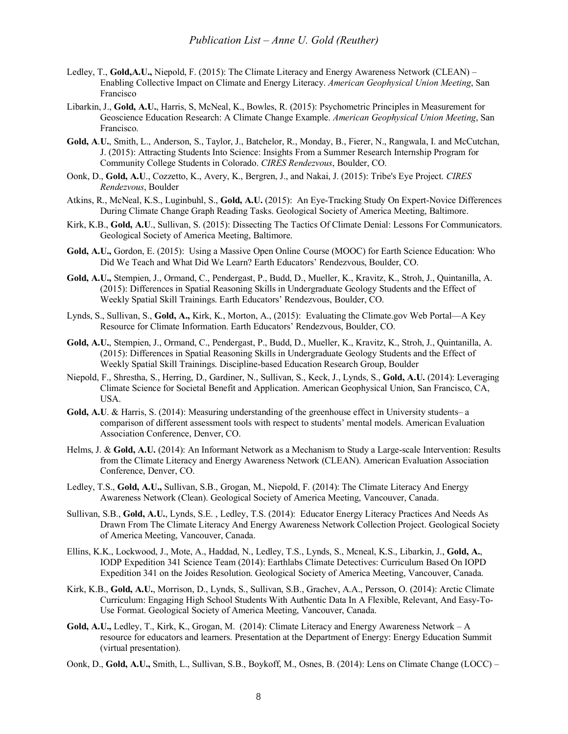- Ledley, T., **Gold,A.U.,** Niepold, F. (2015): The Climate Literacy and Energy Awareness Network (CLEAN) Enabling Collective Impact on Climate and Energy Literacy. *American Geophysical Union Meeting*, San Francisco
- Libarkin, J., **Gold, A.U.**, Harris, S, McNeal, K., Bowles, R. (2015): Psychometric Principles in Measurement for Geoscience Education Research: A Climate Change Example. *American Geophysical Union Meeting*, San Francisco.
- **Gold, A**.**U.**, Smith, L., Anderson, S., Taylor, J., Batchelor, R., Monday, B., Fierer, N., Rangwala, I. and McCutchan, J. (2015): Attracting Students Into Science: Insights From a Summer Research Internship Program for Community College Students in Colorado. *CIRES Rendezvous*, Boulder, CO.
- Oonk, D., **Gold, A.U**., Cozzetto, K., Avery, K., Bergren, J., and Nakai, J. (2015): Tribe's Eye Project. *CIRES Rendezvous*, Boulder
- Atkins, R., McNeal, K.S., Luginbuhl, S., **Gold, A.U.** (2015): An Eye-Tracking Study On Expert-Novice Differences During Climate Change Graph Reading Tasks. Geological Society of America Meeting, Baltimore.
- Kirk, K.B., **Gold, A.U**., Sullivan, S. (2015): Dissecting The Tactics Of Climate Denial: Lessons For Communicators. Geological Society of America Meeting, Baltimore.
- **Gold, A.U.,** Gordon, E. (2015): Using a Massive Open Online Course (MOOC) for Earth Science Education: Who Did We Teach and What Did We Learn? Earth Educators' Rendezvous, Boulder, CO.
- **Gold, A.U.,** Stempien, J., Ormand, C., Pendergast, P., Budd, D., Mueller, K., Kravitz, K., Stroh, J., Quintanilla, A. (2015): Differences in Spatial Reasoning Skills in Undergraduate Geology Students and the Effect of Weekly Spatial Skill Trainings. Earth Educators' Rendezvous, Boulder, CO.
- Lynds, S., Sullivan, S., **Gold, A.,** Kirk, K., Morton, A., (2015): Evaluating the Climate.gov Web Portal—A Key Resource for Climate Information. Earth Educators' Rendezvous, Boulder, CO.
- **Gold, A.U.**, Stempien, J., Ormand, C., Pendergast, P., Budd, D., Mueller, K., Kravitz, K., Stroh, J., Quintanilla, A. (2015): Differences in Spatial Reasoning Skills in Undergraduate Geology Students and the Effect of Weekly Spatial Skill Trainings. Discipline-based Education Research Group, Boulder
- Niepold, F., Shrestha, S., Herring, D., Gardiner, N., Sullivan, S., Keck, J., Lynds, S., **Gold, A.U.** (2014): Leveraging Climate Science for Societal Benefit and Application. American Geophysical Union, San Francisco, CA, USA.
- **Gold, A.U**. & Harris, S. (2014): Measuring understanding of the greenhouse effect in University students– a comparison of different assessment tools with respect to students' mental models. American Evaluation Association Conference, Denver, CO.
- Helms, J. & **Gold, A.U.** (2014): An Informant Network as a Mechanism to Study a Large-scale Intervention: Results from the Climate Literacy and Energy Awareness Network (CLEAN). American Evaluation Association Conference, Denver, CO.
- Ledley, T.S., **Gold, A.U.,** Sullivan, S.B., Grogan, M., Niepold, F. (2014): The Climate Literacy And Energy Awareness Network (Clean). Geological Society of America Meeting, Vancouver, Canada.
- Sullivan, S.B., **Gold, A.U.**, Lynds, S.E. , Ledley, T.S. (2014): Educator Energy Literacy Practices And Needs As Drawn From The Climate Literacy And Energy Awareness Network Collection Project. Geological Society of America Meeting, Vancouver, Canada.
- Ellins, K.K., Lockwood, J., Mote, A., Haddad, N., Ledley, T.S., Lynds, S., Mcneal, K.S., Libarkin, J., **Gold, A.**, IODP Expedition 341 Science Team (2014): Earthlabs Climate Detectives: Curriculum Based On IOPD Expedition 341 on the Joides Resolution. Geological Society of America Meeting, Vancouver, Canada.
- Kirk, K.B., **Gold, A.U.**, Morrison, D., Lynds, S., Sullivan, S.B., Grachev, A.A., Persson, O. (2014): Arctic Climate Curriculum: Engaging High School Students With Authentic Data In A Flexible, Relevant, And Easy-To-Use Format. Geological Society of America Meeting, Vancouver, Canada.
- **Gold, A.U.,** Ledley, T., Kirk, K., Grogan, M. (2014): Climate Literacy and Energy Awareness Network A resource for educators and learners. Presentation at the Department of Energy: Energy Education Summit (virtual presentation).
- Oonk, D., **Gold, A.U.,** Smith, L., Sullivan, S.B., Boykoff, M., Osnes, B. (2014): Lens on Climate Change (LOCC) –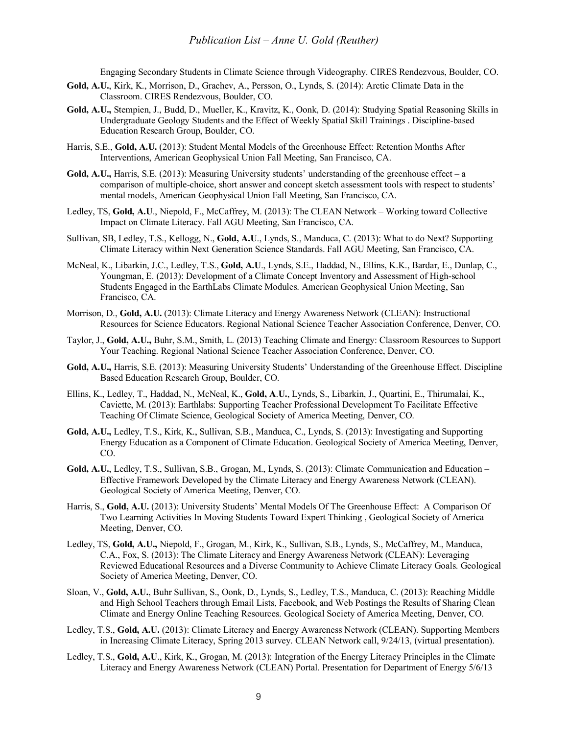Engaging Secondary Students in Climate Science through Videography. CIRES Rendezvous, Boulder, CO.

- **Gold, A.U.**, Kirk, K., Morrison, D., Grachev, A., Persson, O., Lynds, S. (2014): Arctic Climate Data in the Classroom. CIRES Rendezvous, Boulder, CO.
- **Gold, A.U.,** Stempien, J., Budd, D., Mueller, K., Kravitz, K., Oonk, D. (2014): Studying Spatial Reasoning Skills in Undergraduate Geology Students and the Effect of Weekly Spatial Skill Trainings . Discipline-based Education Research Group, Boulder, CO.
- Harris, S.E., **Gold, A.U.** (2013): Student Mental Models of the Greenhouse Effect: Retention Months After Interventions, American Geophysical Union Fall Meeting, San Francisco, CA.
- **Gold, A.U.,** Harris, S.E. (2013): Measuring University students' understanding of the greenhouse effect a comparison of multiple-choice, short answer and concept sketch assessment tools with respect to students' mental models, American Geophysical Union Fall Meeting, San Francisco, CA.
- Ledley, TS, **Gold, A.U**., Niepold, F., McCaffrey, M. (2013): The CLEAN Network Working toward Collective Impact on Climate Literacy. Fall AGU Meeting, San Francisco, CA.
- Sullivan, SB, Ledley, T.S., Kellogg, N., **Gold, A.U**., Lynds, S., Manduca, C. (2013): What to do Next? Supporting Climate Literacy within Next Generation Science Standards. Fall AGU Meeting, San Francisco, CA.
- McNeal, K., Libarkin, J.C., Ledley, T.S., **Gold, A.U**., Lynds, S.E., Haddad, N., Ellins, K.K., Bardar, E., Dunlap, C., Youngman, E. (2013): Development of a Climate Concept Inventory and Assessment of High-school Students Engaged in the EarthLabs Climate Modules. American Geophysical Union Meeting, San Francisco, CA.
- Morrison, D., **Gold, A.U.** (2013): Climate Literacy and Energy Awareness Network (CLEAN): Instructional Resources for Science Educators. Regional National Science Teacher Association Conference, Denver, CO.
- Taylor, J., **Gold, A.U.,** Buhr, S.M., Smith, L. (2013) Teaching Climate and Energy: Classroom Resources to Support Your Teaching. Regional National Science Teacher Association Conference, Denver, CO.
- **Gold, A.U.,** Harris, S.E. (2013): Measuring University Students' Understanding of the Greenhouse Effect. Discipline Based Education Research Group, Boulder, CO.
- Ellins, K., Ledley, T., Haddad, N., McNeal, K., **Gold, A**.**U.**, Lynds, S., Libarkin, J., Quartini, E., Thirumalai, K., Caviette, M. (2013): Earthlabs: Supporting Teacher Professional Development To Facilitate Effective Teaching Of Climate Science, Geological Society of America Meeting, Denver, CO.
- **Gold, A.U.,** Ledley, T.S., Kirk, K., Sullivan, S.B., Manduca, C., Lynds, S. (2013): Investigating and Supporting Energy Education as a Component of Climate Education. Geological Society of America Meeting, Denver, CO.
- **Gold, A.U.**, Ledley, T.S., Sullivan, S.B., Grogan, M., Lynds, S. (2013): Climate Communication and Education Effective Framework Developed by the Climate Literacy and Energy Awareness Network (CLEAN). Geological Society of America Meeting, Denver, CO.
- Harris, S., **Gold, A.U.** (2013): University Students' Mental Models Of The Greenhouse Effect: A Comparison Of Two Learning Activities In Moving Students Toward Expert Thinking , Geological Society of America Meeting, Denver, CO.
- Ledley, TS, **Gold, A.U.,** Niepold, F., Grogan, M., Kirk, K., Sullivan, S.B., Lynds, S., McCaffrey, M., Manduca, C.A., Fox, S. (2013): The Climate Literacy and Energy Awareness Network (CLEAN): Leveraging Reviewed Educational Resources and a Diverse Community to Achieve Climate Literacy Goals. Geological Society of America Meeting, Denver, CO.
- Sloan, V., **Gold, A.U.**, Buhr Sullivan, S., Oonk, D., Lynds, S., Ledley, T.S., Manduca, C. (2013): Reaching Middle and High School Teachers through Email Lists, Facebook, and Web Postings the Results of Sharing Clean Climate and Energy Online Teaching Resources. Geological Society of America Meeting, Denver, CO.
- Ledley, T.S., **Gold, A.U.** (2013): Climate Literacy and Energy Awareness Network (CLEAN). Supporting Members in Increasing Climate Literacy, Spring 2013 survey. CLEAN Network call, 9/24/13, (virtual presentation).
- Ledley, T.S., **Gold, A.U**., Kirk, K., Grogan, M. (2013): Integration of the Energy Literacy Principles in the Climate Literacy and Energy Awareness Network (CLEAN) Portal. Presentation for Department of Energy 5/6/13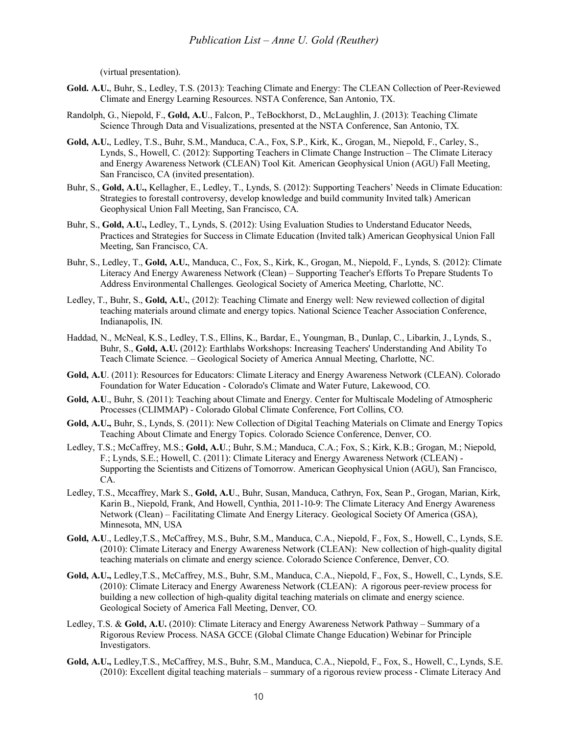(virtual presentation).

- **Gold. A.U.**, Buhr, S., Ledley, T.S. (2013): Teaching Climate and Energy: The CLEAN Collection of Peer-Reviewed Climate and Energy Learning Resources. NSTA Conference, San Antonio, TX.
- Randolph, G., Niepold, F., **Gold, A.U**., Falcon, P., TeBockhorst, D., McLaughlin, J. (2013): Teaching Climate Science Through Data and Visualizations, presented at the NSTA Conference, San Antonio, TX.
- **Gold, A.U.**, Ledley, T.S., Buhr, S.M., Manduca, C.A., Fox, S.P., Kirk, K., Grogan, M., Niepold, F., Carley, S., Lynds, S., Howell, C. (2012): Supporting Teachers in Climate Change Instruction – The Climate Literacy and Energy Awareness Network (CLEAN) Tool Kit. American Geophysical Union (AGU) Fall Meeting, San Francisco, CA (invited presentation).
- Buhr, S., **Gold, A.U.,** Kellagher, E., Ledley, T., Lynds, S. (2012): Supporting Teachers' Needs in Climate Education: Strategies to forestall controversy, develop knowledge and build community Invited talk) American Geophysical Union Fall Meeting, San Francisco, CA.
- Buhr, S., **Gold, A.U.,** Ledley, T., Lynds, S. (2012): Using Evaluation Studies to Understand Educator Needs, Practices and Strategies for Success in Climate Education (Invited talk) American Geophysical Union Fall Meeting, San Francisco, CA.
- Buhr, S., Ledley, T., **Gold, A.U.**, Manduca, C., Fox, S., Kirk, K., Grogan, M., Niepold, F., Lynds, S. (2012): Climate Literacy And Energy Awareness Network (Clean) – Supporting Teacher's Efforts To Prepare Students To Address Environmental Challenges. Geological Society of America Meeting, Charlotte, NC.
- Ledley, T., Buhr, S., **Gold, A.U.**, (2012): Teaching Climate and Energy well: New reviewed collection of digital teaching materials around climate and energy topics. National Science Teacher Association Conference, Indianapolis, IN.
- Haddad, N., McNeal, K.S., Ledley, T.S., Ellins, K., Bardar, E., Youngman, B., Dunlap, C., Libarkin, J., Lynds, S., Buhr, S., **Gold, A.U.** (2012): Earthlabs Workshops: Increasing Teachers' Understanding And Ability To Teach Climate Science. – Geological Society of America Annual Meeting, Charlotte, NC.
- **Gold, A.U**. (2011): Resources for Educators: Climate Literacy and Energy Awareness Network (CLEAN). Colorado Foundation for Water Education - Colorado's Climate and Water Future, Lakewood, CO.
- **Gold, A.U**., Buhr, S. (2011): Teaching about Climate and Energy. Center for Multiscale Modeling of Atmospheric Processes (CLIMMAP) - Colorado Global Climate Conference, Fort Collins, CO.
- **Gold, A.U.,** Buhr, S., Lynds, S. (2011): New Collection of Digital Teaching Materials on Climate and Energy Topics Teaching About Climate and Energy Topics. Colorado Science Conference, Denver, CO.
- Ledley, T.S.; McCaffrey, M.S.; **Gold, A.U**.; Buhr, S.M.; Manduca, C.A.; Fox, S.; Kirk, K.B.; Grogan, M.; Niepold, F.; Lynds, S.E.; Howell, C. (2011): Climate Literacy and Energy Awareness Network (CLEAN) - Supporting the Scientists and Citizens of Tomorrow. American Geophysical Union (AGU), San Francisco, CA.
- Ledley, T.S., Mccaffrey, Mark S., **Gold, A.U**., Buhr, Susan, Manduca, Cathryn, Fox, Sean P., Grogan, Marian, Kirk, Karin B., Niepold, Frank, And Howell, Cynthia, 2011-10-9: The Climate Literacy And Energy Awareness Network (Clean) – Facilitating Climate And Energy Literacy. Geological Society Of America (GSA), Minnesota, MN, USA
- **Gold, A.U**., Ledley,T.S., McCaffrey, M.S., Buhr, S.M., Manduca, C.A., Niepold, F., Fox, S., Howell, C., Lynds, S.E. (2010): Climate Literacy and Energy Awareness Network (CLEAN): New collection of high-quality digital teaching materials on climate and energy science. Colorado Science Conference, Denver, CO.
- **Gold, A.U.,** Ledley,T.S., McCaffrey, M.S., Buhr, S.M., Manduca, C.A., Niepold, F., Fox, S., Howell, C., Lynds, S.E. (2010): Climate Literacy and Energy Awareness Network (CLEAN): A rigorous peer-review process for building a new collection of high-quality digital teaching materials on climate and energy science. Geological Society of America Fall Meeting, Denver, CO.
- Ledley, T.S. & **Gold, A.U.** (2010): Climate Literacy and Energy Awareness Network Pathway Summary of a Rigorous Review Process. NASA GCCE (Global Climate Change Education) Webinar for Principle Investigators.
- **Gold, A.U.,** Ledley,T.S., McCaffrey, M.S., Buhr, S.M., Manduca, C.A., Niepold, F., Fox, S., Howell, C., Lynds, S.E. (2010): Excellent digital teaching materials – summary of a rigorous review process - Climate Literacy And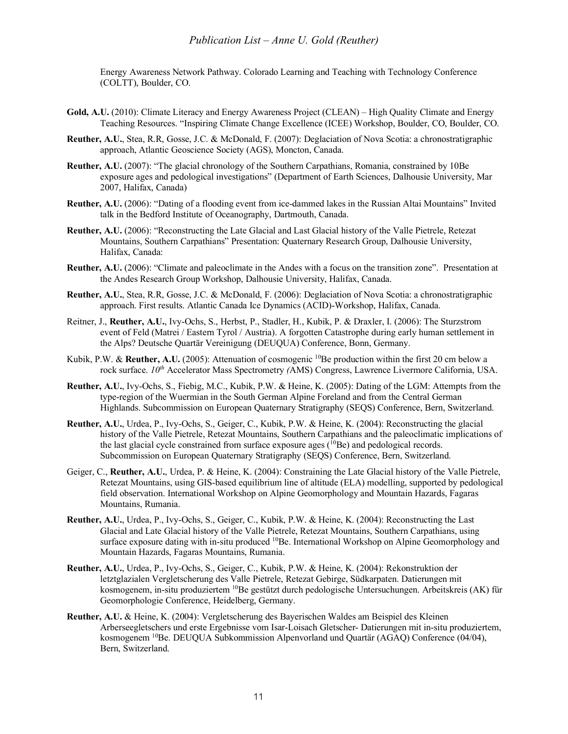### *Publication List – Anne U. Gold (Reuther)*

Energy Awareness Network Pathway. Colorado Learning and Teaching with Technology Conference (COLTT), Boulder, CO.

- **Gold, A.U.** (2010): Climate Literacy and Energy Awareness Project (CLEAN) High Quality Climate and Energy Teaching Resources. "Inspiring Climate Change Excellence (ICEE) Workshop, Boulder, CO, Boulder, CO.
- **Reuther, A.U.**, Stea, R.R, Gosse, J.C. & McDonald, F. (2007): Deglaciation of Nova Scotia: a chronostratigraphic approach, Atlantic Geoscience Society (AGS), Moncton, Canada.
- **Reuther, A.U.** (2007): "The glacial chronology of the Southern Carpathians, Romania, constrained by 10Be exposure ages and pedological investigations" (Department of Earth Sciences, Dalhousie University, Mar 2007, Halifax, Canada)
- **Reuther, A.U.** (2006): "Dating of a flooding event from ice-dammed lakes in the Russian Altai Mountains" Invited talk in the Bedford Institute of Oceanography, Dartmouth, Canada.
- **Reuther, A.U.** (2006): "Reconstructing the Late Glacial and Last Glacial history of the Valle Pietrele, Retezat Mountains, Southern Carpathians" Presentation: Quaternary Research Group, Dalhousie University, Halifax, Canada:
- **Reuther, A.U.** (2006): "Climate and paleoclimate in the Andes with a focus on the transition zone". Presentation at the Andes Research Group Workshop, Dalhousie University, Halifax, Canada.
- **Reuther, A.U.**, Stea, R.R, Gosse, J.C. & McDonald, F. (2006): Deglaciation of Nova Scotia: a chronostratigraphic approach. First results. Atlantic Canada Ice Dynamics (ACID)-Workshop, Halifax, Canada.
- Reitner, J., **Reuther, A.U.**, Ivy-Ochs, S., Herbst, P., Stadler, H., Kubik, P. & Draxler, I. (2006): The Sturzstrom event of Feld (Matrei / Eastern Tyrol / Austria). A forgotten Catastrophe during early human settlement in the Alps? Deutsche Quartär Vereinigung (DEUQUA) Conference, Bonn, Germany.
- Kubik, P.W. & **Reuther, A.U.** (2005): Attenuation of cosmogenic <sup>10</sup>Be production within the first 20 cm below a rock surface. *10<sup>th</sup>* Accelerator Mass Spectrometry *(AMS)* Congress, Lawrence Livermore California, USA.
- **Reuther, A.U.**, Ivy-Ochs, S., Fiebig, M.C., Kubik, P.W. & Heine, K. (2005): Dating of the LGM: Attempts from the type-region of the Wuermian in the South German Alpine Foreland and from the Central German Highlands. Subcommission on European Quaternary Stratigraphy (SEQS) Conference, Bern, Switzerland.
- **Reuther, A.U.**, Urdea, P., Ivy-Ochs, S., Geiger, C., Kubik, P.W. & Heine, K. (2004): Reconstructing the glacial history of the Valle Pietrele, Retezat Mountains, Southern Carpathians and the paleoclimatic implications of the last glacial cycle constrained from surface exposure ages  $(^{10}Be)$  and pedological records. Subcommission on European Quaternary Stratigraphy (SEQS) Conference, Bern, Switzerland.
- Geiger, C., **Reuther, A.U.**, Urdea, P. & Heine, K. (2004): Constraining the Late Glacial history of the Valle Pietrele, Retezat Mountains, using GIS-based equilibrium line of altitude (ELA) modelling, supported by pedological field observation. International Workshop on Alpine Geomorphology and Mountain Hazards, Fagaras Mountains, Rumania.
- **Reuther, A.U.**, Urdea, P., Ivy-Ochs, S., Geiger, C., Kubik, P.W. & Heine, K. (2004): Reconstructing the Last Glacial and Late Glacial history of the Valle Pietrele, Retezat Mountains, Southern Carpathians, using surface exposure dating with in-situ produced <sup>10</sup>Be. International Workshop on Alpine Geomorphology and Mountain Hazards, Fagaras Mountains, Rumania.
- **Reuther, A.U.**, Urdea, P., Ivy-Ochs, S., Geiger, C., Kubik, P.W. & Heine, K. (2004): Rekonstruktion der letztglazialen Vergletscherung des Valle Pietrele, Retezat Gebirge, Südkarpaten. Datierungen mit kosmogenem, in-situ produziertem <sup>10</sup>Be gestützt durch pedologische Untersuchungen. Arbeitskreis (AK) für Geomorphologie Conference, Heidelberg, Germany.
- **Reuther, A.U.** & Heine, K. (2004): Vergletscherung des Bayerischen Waldes am Beispiel des Kleinen Arberseegletschers und erste Ergebnisse vom Isar-Loisach Gletscher- Datierungen mit in-situ produziertem, kosmogenem <sup>10</sup>Be. DEUQUA Subkommission Alpenvorland und Quartär (AGAQ) Conference (04/04), Bern, Switzerland.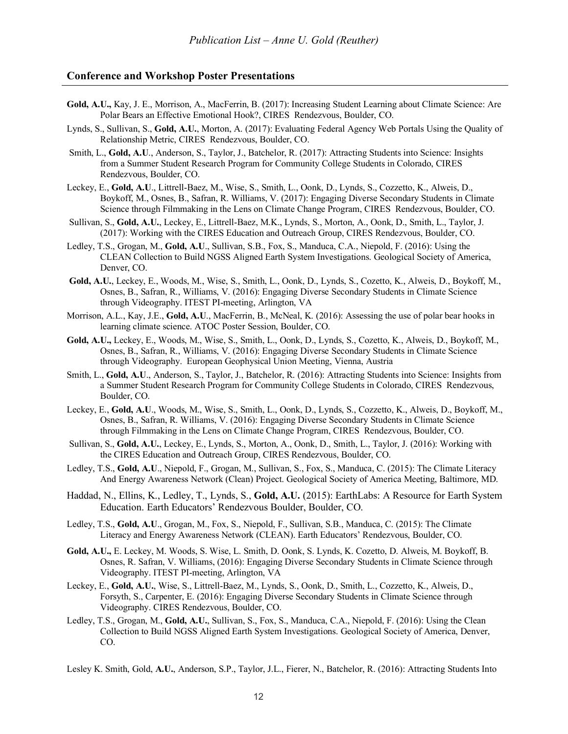## **Conference and Workshop Poster Presentations**

- **Gold, A.U.,** Kay, J. E., Morrison, A., MacFerrin, B. (2017): Increasing Student Learning about Climate Science: Are Polar Bears an Effective Emotional Hook?, CIRES Rendezvous, Boulder, CO.
- Lynds, S., Sullivan, S., **Gold, A.U.**, Morton, A. (2017): Evaluating Federal Agency Web Portals Using the Quality of Relationship Metric, CIRES Rendezvous, Boulder, CO.
- Smith, L., **Gold, A.U**., Anderson, S., Taylor, J., Batchelor, R. (2017): Attracting Students into Science: Insights from a Summer Student Research Program for Community College Students in Colorado, CIRES Rendezvous, Boulder, CO.
- Leckey, E., **Gold, A.U**., Littrell-Baez, M., Wise, S., Smith, L., Oonk, D., Lynds, S., Cozzetto, K., Alweis, D., Boykoff, M., Osnes, B., Safran, R. Williams, V. (2017): Engaging Diverse Secondary Students in Climate Science through Filmmaking in the Lens on Climate Change Program, CIRES Rendezvous, Boulder, CO.
- Sullivan, S., **Gold, A.U.**, Leckey, E., Littrell-Baez, M.K., Lynds, S., Morton, A., Oonk, D., Smith, L., Taylor, J. (2017): Working with the CIRES Education and Outreach Group, CIRES Rendezvous, Boulder, CO.
- Ledley, T.S., Grogan, M., **Gold, A.U**., Sullivan, S.B., Fox, S., Manduca, C.A., Niepold, F. (2016): Using the CLEAN Collection to Build NGSS Aligned Earth System Investigations. Geological Society of America, Denver, CO.
- **Gold, A.U.**, Leckey, E., Woods, M., Wise, S., Smith, L., Oonk, D., Lynds, S., Cozetto, K., Alweis, D., Boykoff, M., Osnes, B., Safran, R., Williams, V. (2016): Engaging Diverse Secondary Students in Climate Science through Videography. ITEST PI-meeting, Arlington, VA
- Morrison, A.L., Kay, J.E., **Gold, A.U**., MacFerrin, B., McNeal, K. (2016): Assessing the use of polar bear hooks in learning climate science. ATOC Poster Session, Boulder, CO.
- **Gold, A.U.,** Leckey, E., Woods, M., Wise, S., Smith, L., Oonk, D., Lynds, S., Cozetto, K., Alweis, D., Boykoff, M., Osnes, B., Safran, R., Williams, V. (2016): Engaging Diverse Secondary Students in Climate Science through Videography. European Geophysical Union Meeting, Vienna, Austria
- Smith, L., **Gold, A.U**., Anderson, S., Taylor, J., Batchelor, R. (2016): Attracting Students into Science: Insights from a Summer Student Research Program for Community College Students in Colorado, CIRES Rendezvous, Boulder, CO.
- Leckey, E., **Gold, A.U**., Woods, M., Wise, S., Smith, L., Oonk, D., Lynds, S., Cozzetto, K., Alweis, D., Boykoff, M., Osnes, B., Safran, R. Williams, V. (2016): Engaging Diverse Secondary Students in Climate Science through Filmmaking in the Lens on Climate Change Program, CIRES Rendezvous, Boulder, CO.
- Sullivan, S., **Gold, A.U.**, Leckey, E., Lynds, S., Morton, A., Oonk, D., Smith, L., Taylor, J. (2016): Working with the CIRES Education and Outreach Group, CIRES Rendezvous, Boulder, CO.
- Ledley, T.S., **Gold, A.U**., Niepold, F., Grogan, M., Sullivan, S., Fox, S., Manduca, C. (2015): The Climate Literacy And Energy Awareness Network (Clean) Project. Geological Society of America Meeting, Baltimore, MD.
- Haddad, N., Ellins, K., Ledley, T., Lynds, S., **Gold, A.U.** (2015): EarthLabs: A Resource for Earth System Education. Earth Educators' Rendezvous Boulder, Boulder, CO.
- Ledley, T.S., **Gold, A.U**., Grogan, M., Fox, S., Niepold, F., Sullivan, S.B., Manduca, C. (2015): The Climate Literacy and Energy Awareness Network (CLEAN). Earth Educators' Rendezvous, Boulder, CO.
- **Gold, A.U.,** E. Leckey, M. Woods, S. Wise, L. Smith, D. Oonk, S. Lynds, K. Cozetto, D. Alweis, M. Boykoff, B. Osnes, R. Safran, V. Williams, (2016): Engaging Diverse Secondary Students in Climate Science through Videography. ITEST PI-meeting, Arlington, VA
- Leckey, E., **Gold, A.U.**, Wise, S., Littrell-Baez, M., Lynds, S., Oonk, D., Smith, L., Cozzetto, K., Alweis, D., Forsyth, S., Carpenter, E. (2016): Engaging Diverse Secondary Students in Climate Science through Videography. CIRES Rendezvous, Boulder, CO.
- Ledley, T.S., Grogan, M., **Gold, A.U.**, Sullivan, S., Fox, S., Manduca, C.A., Niepold, F. (2016): Using the Clean Collection to Build NGSS Aligned Earth System Investigations. Geological Society of America, Denver, CO.
- Lesley K. Smith, Gold, **A.U.**, Anderson, S.P., Taylor, J.L., Fierer, N., Batchelor, R. (2016): Attracting Students Into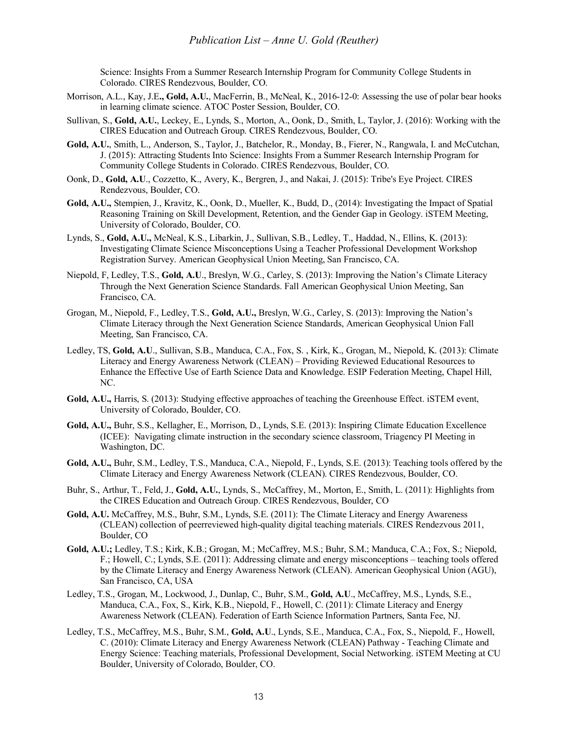Science: Insights From a Summer Research Internship Program for Community College Students in Colorado. CIRES Rendezvous, Boulder, CO.

- Morrison, A.L., Kay, J.E**., Gold, A.U.**, MacFerrin, B., McNeal, K., 2016-12-0: Assessing the use of polar bear hooks in learning climate science. ATOC Poster Session, Boulder, CO.
- Sullivan, S., **Gold, A.U.**, Leckey, E., Lynds, S., Morton, A., Oonk, D., Smith, L, Taylor, J. (2016): Working with the CIRES Education and Outreach Group. CIRES Rendezvous, Boulder, CO.
- **Gold, A.U.**, Smith, L., Anderson, S., Taylor, J., Batchelor, R., Monday, B., Fierer, N., Rangwala, I. and McCutchan, J. (2015): Attracting Students Into Science: Insights From a Summer Research Internship Program for Community College Students in Colorado. CIRES Rendezvous, Boulder, CO.
- Oonk, D., **Gold, A.U**., Cozzetto, K., Avery, K., Bergren, J., and Nakai, J. (2015): Tribe's Eye Project. CIRES Rendezvous, Boulder, CO.
- **Gold, A.U.,** Stempien, J., Kravitz, K., Oonk, D., Mueller, K., Budd, D., (2014): Investigating the Impact of Spatial Reasoning Training on Skill Development, Retention, and the Gender Gap in Geology. iSTEM Meeting, University of Colorado, Boulder, CO.
- Lynds, S., **Gold, A.U.,** McNeal, K.S., Libarkin, J., Sullivan, S.B., Ledley, T., Haddad, N., Ellins, K. (2013): Investigating Climate Science Misconceptions Using a Teacher Professional Development Workshop Registration Survey. American Geophysical Union Meeting, San Francisco, CA.
- Niepold, F, Ledley, T.S., **Gold, A.U**., Breslyn, W.G., Carley, S. (2013): Improving the Nation's Climate Literacy Through the Next Generation Science Standards. Fall American Geophysical Union Meeting, San Francisco, CA.
- Grogan, M., Niepold, F., Ledley, T.S., **Gold, A.U.,** Breslyn, W.G., Carley, S. (2013): Improving the Nation's Climate Literacy through the Next Generation Science Standards, American Geophysical Union Fall Meeting, San Francisco, CA.
- Ledley, TS, **Gold, A.U**., Sullivan, S.B., Manduca, C.A., Fox, S. , Kirk, K., Grogan, M., Niepold, K. (2013): Climate Literacy and Energy Awareness Network (CLEAN) – Providing Reviewed Educational Resources to Enhance the Effective Use of Earth Science Data and Knowledge. ESIP Federation Meeting, Chapel Hill, NC.
- **Gold, A.U.,** Harris, S. (2013): Studying effective approaches of teaching the Greenhouse Effect. iSTEM event, University of Colorado, Boulder, CO.
- **Gold, A.U.,** Buhr, S.S., Kellagher, E., Morrison, D., Lynds, S.E. (2013): Inspiring Climate Education Excellence (ICEE): Navigating climate instruction in the secondary science classroom, Triagency PI Meeting in Washington, DC.
- **Gold, A.U.,** Buhr, S.M., Ledley, T.S., Manduca, C.A., Niepold, F., Lynds, S.E. (2013): Teaching tools offered by the Climate Literacy and Energy Awareness Network (CLEAN). CIRES Rendezvous, Boulder, CO.
- Buhr, S., Arthur, T., Feld, J., **Gold, A.U.**, Lynds, S., McCaffrey, M., Morton, E., Smith, L. (2011): Highlights from the CIRES Education and Outreach Group. CIRES Rendezvous, Boulder, CO
- **Gold, A.U.** McCaffrey, M.S., Buhr, S.M., Lynds, S.E. (2011): The Climate Literacy and Energy Awareness (CLEAN) collection of peerreviewed high-quality digital teaching materials. CIRES Rendezvous 2011, Boulder, CO
- **Gold, A.U.;** Ledley, T.S.; Kirk, K.B.; Grogan, M.; McCaffrey, M.S.; Buhr, S.M.; Manduca, C.A.; Fox, S.; Niepold, F.; Howell, C.; Lynds, S.E. (2011): Addressing climate and energy misconceptions – teaching tools offered by the Climate Literacy and Energy Awareness Network (CLEAN). American Geophysical Union (AGU), San Francisco, CA, USA
- Ledley, T.S., Grogan, M., Lockwood, J., Dunlap, C., Buhr, S.M., **Gold, A.U**., McCaffrey, M.S., Lynds, S.E., Manduca, C.A., Fox, S., Kirk, K.B., Niepold, F., Howell, C. (2011): Climate Literacy and Energy Awareness Network (CLEAN). Federation of Earth Science Information Partners, Santa Fee, NJ.
- Ledley, T.S., McCaffrey, M.S., Buhr, S.M., **Gold, A.U**., Lynds, S.E., Manduca, C.A., Fox, S., Niepold, F., Howell, C. (2010): Climate Literacy and Energy Awareness Network (CLEAN) Pathway - Teaching Climate and Energy Science: Teaching materials, Professional Development, Social Networking. iSTEM Meeting at CU Boulder, University of Colorado, Boulder, CO.